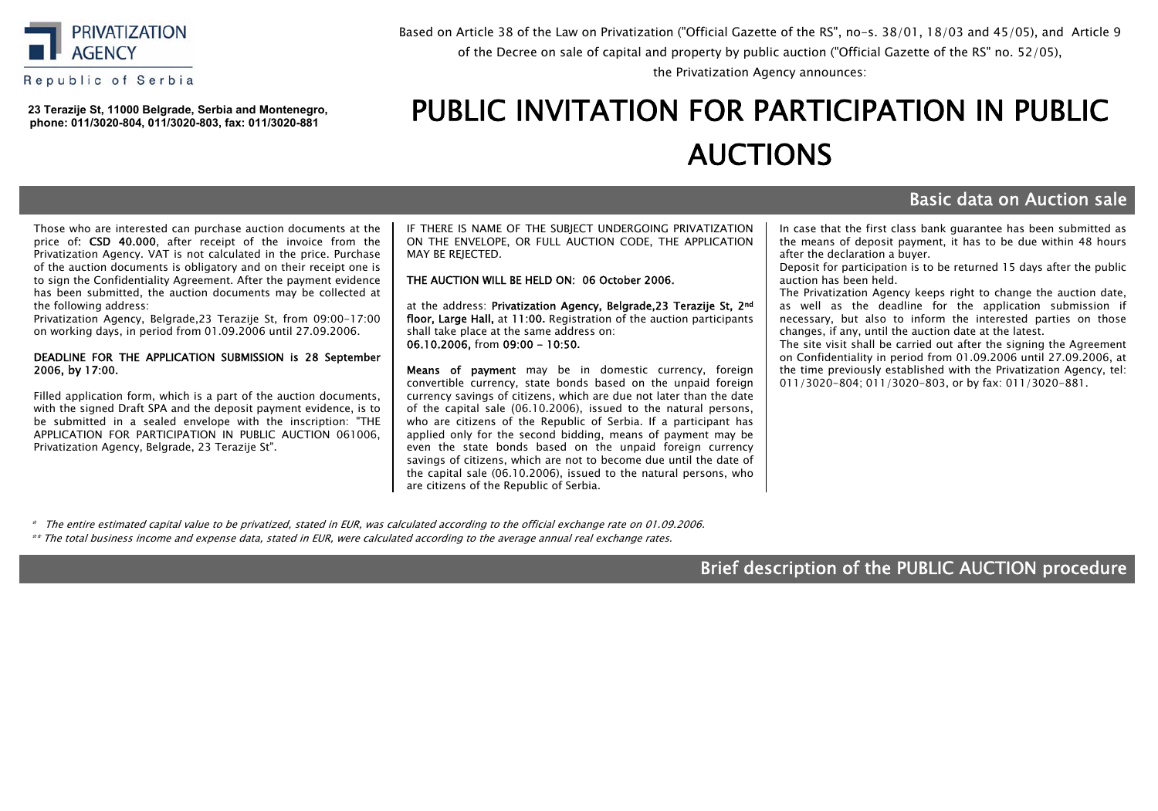

Republic of Serbia

**23 Тerazije St, 11000 Belgrade, Serbia and Montenegro, phone: 011/3020-804, 011/3020-803, fax: 011/3020-881**

## Based on Article 38 of the Law on Privatization ("Official Gazette of the RS", no-s. 38/01, 18/03 and 45/05), and Article 9 of the Decree оn sale of capital and property by public аuction ("Official Gazette of the RS" no. 52/05),

the Privatization Agency announces:

# PUBLIC INVITATION FOR PARTICIPATION IN PUBLIC АUCTIONS

# Basic data on Auction sale

Those who are interested can purchase auction documents at the price of: CSD 40.000, after receipt of the invoice from the Privatization Agency. VAT is not calculated in the price. Purchase of the auction documents is obligatory аnd on their receipt one is to sign the Confidentiality Agreement. After the payment evidence has been submitted, the auction documents may be collected at the following address:

Privatization Agency, Belgrade,23 Terazije St, from 09:00-17:00 on working days, in period from 01.09.2006 until 27.09.2006.

### DEADLINE FOR THE APPLICATION SUBMISSION is 28 September 2006, by 17:00.

Filled application form, which is a part of the auction documents, with the signed Draft SPA and the deposit payment evidence, is to be submitted in a sealed envelope with the inscription: "THE APPLICATION FOR PARTICIPATION IN PUBLIC AUCTION 061006, Privatization Agency, Belgrade, 23 Теrazije St".

IF THERE IS NAME OF THE SUBJECT UNDERGOING PRIVATIZATION ON THE ENVELOPE, OR FULL AUCTION CODE, THE APPLICATION MAY BE REIECTED.

### THE AUCTION WILL BE HELD ON: 06 October 2006.

at the address: Privatization Agency, Belgrade, 23 Terazije St, 2nd floor, Large Hall, at 11:00**.** Registration of the auction participants shall take place at the same address on: 06.10.2006, from 09:00 - 10:50**.**

Means of payment may be in domestic currency, foreign convertible currency, state bonds based on the unpaid foreign currency savings of citizens, which are due not later than the date of the capital sale (06.10.2006), issued to the natural persons, who are citizens of the Republic of Serbia. If a participant has applied only for the second bidding, means of payment may be even the state bonds based on the unpaid foreign currency savings of citizens, which are not to become due until the date of the capital sale (06.10.2006), issued to the natural persons, who are citizens of the Republic of Serbia.

In case that the first class bank guarantee has been submitted as the means of deposit payment, it has to be due within 48 hours after the declaration a buyer.

Deposit for participation is to be returned 15 days after the public auction has been held.

The Privatization Agency keeps right to change the auction date, as well as the deadline for the application submission if necessary, but also to inform the interested parties on those changes, if any, until the auction date at the latest.

The site visit shall be carried out after the signing the Agreement on Confidentiality in period from 01.09.2006 until 27.09.2006, at the time previously established with the Privatization Agency, tel: 011/3020-804; 011/3020-803, or by fax: 011/3020-881.

\* The entire estimated capital value to be privatized, stated in EUR, was calculated according to the official exchange rate on 01.09.2006.

\*\* The total business income and expense data, stated in ЕUR, were calculated according to the average annual real exchange rates.

# Brief description of the PUBLIC AUCTION procedure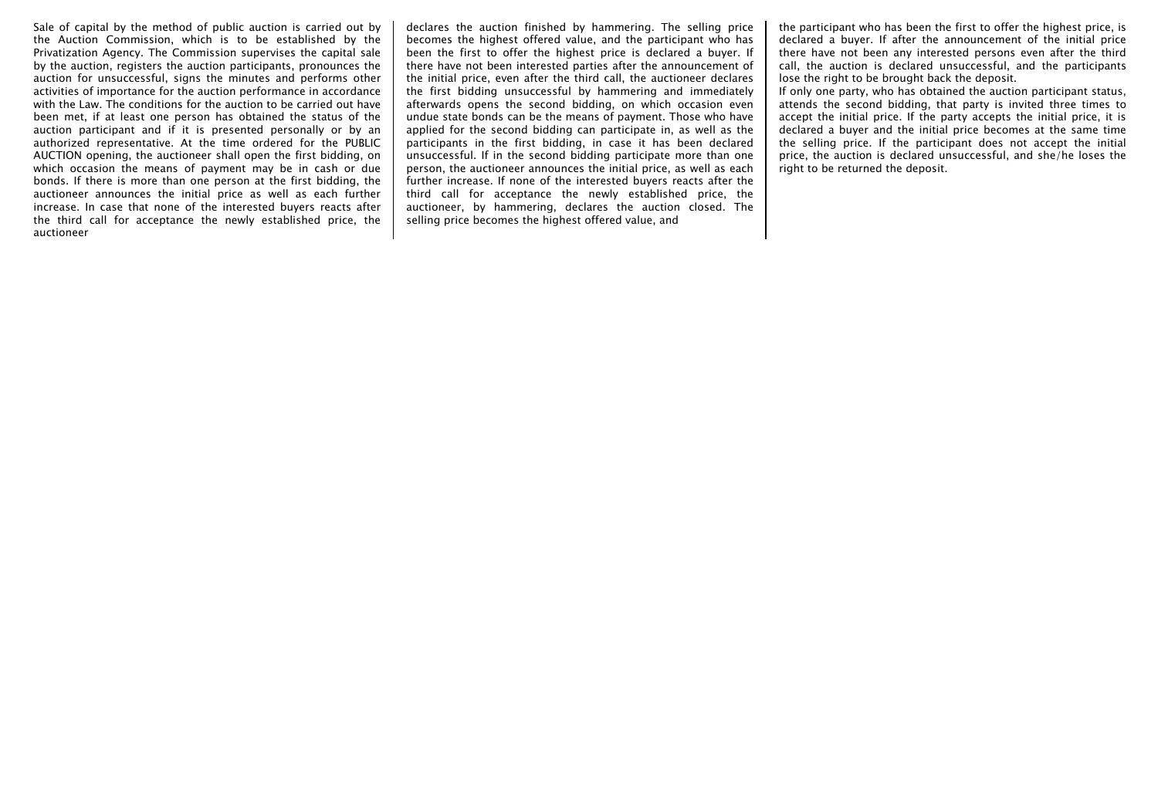Sale of capital by the method of public auction is carried out by the Auction Commission, which is to be established by the Privatization Agency. The Commission supervises the capital sale by the auction, registers the auction participants, pronounces the auction for unsuccessful, signs the minutes and performs other activities of importance for the auction performance in accordance with the Law. The conditions for the auction to be carried out have been met, if at least one person has obtained the status of the auction participant and if it is presented personally or by an authorized representative. At the time ordered for the PUBLIC AUCTION opening, the auctioneer shall open the first bidding, on which occasion the means of payment may be in cash or due bonds. If there is more than one person at the first bidding, the auctioneer announces the initial price as well as each further increase. In case that none of the interested buyers reacts after the third call for acceptance the newly established price, the auctioneer

declares the auction finished by hammering. The selling price becomes the highest offered value, and the participant who has been the first to offer the highest price is declared a buyer. If there have not been interested parties after the announcement of the initial price, even after the third call, the auctioneer declares the first bidding unsuccessful by hammering and immediately afterwards opens the second bidding, on which occasion even undue state bonds can be the means of payment. Those who have applied for the second bidding can participate in, as well as the participants in the first bidding, in case it has been declared unsuccessful. If in the second bidding participate more than one person, the auctioneer announces the initial price, as well as each further increase. If none of the interested buyers reacts after the third call for acceptance the newly established price, the auctioneer, by hammering, declares the auction closed. The selling price becomes the highest offered value, and

the participant who has been the first to offer the highest price, is declared a buyer. If after the announcement of the initial price there have not been any interested persons even after the third call, the auction is declared unsuccessful, and the participants lose the right to be brought back the deposit.

If only one party, who has obtained the auction participant status, attends the second bidding, that party is invited three times to accept the initial price. If the party accepts the initial price, it is declared a buyer and the initial price becomes at the same time the selling price. If the participant does not accept the initial price, the auction is declared unsuccessful, and she/he loses the right to be returned the deposit.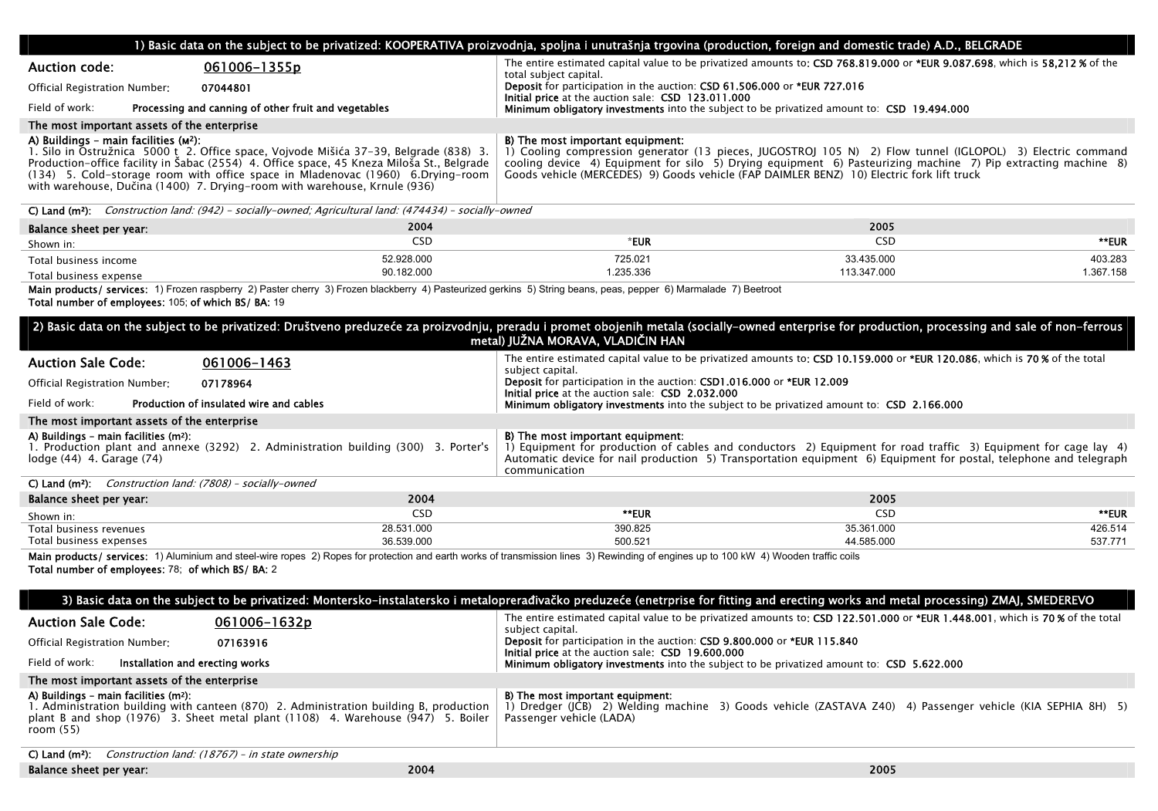|                                                                                | 1) Basic data on the subject to be privatized: KOOPERATIVA proizvodnja, spoljna i unutrašnja trgovina (production, foreign and domestic trade) A.D., BELGRADE                                                                                                                                                                                       |                                                                                                                                                                                                                                                                                                                                                              |             |           |
|--------------------------------------------------------------------------------|-----------------------------------------------------------------------------------------------------------------------------------------------------------------------------------------------------------------------------------------------------------------------------------------------------------------------------------------------------|--------------------------------------------------------------------------------------------------------------------------------------------------------------------------------------------------------------------------------------------------------------------------------------------------------------------------------------------------------------|-------------|-----------|
| <b>Auction code:</b>                                                           | 061006-1355p                                                                                                                                                                                                                                                                                                                                        | The entire estimated capital value to be privatized amounts to: CSD 768.819.000 or *EUR 9.087.698, which is 58.212 % of the<br>total subject capital.                                                                                                                                                                                                        |             |           |
| Official Registration Number:                                                  | 07044801                                                                                                                                                                                                                                                                                                                                            | Deposit for participation in the auction: CSD 61.506.000 or *EUR 727.016<br>Initial price at the auction sale: CSD 123.011.000                                                                                                                                                                                                                               |             |           |
| Field of work:                                                                 | Processing and canning of other fruit and vegetables                                                                                                                                                                                                                                                                                                | <b>Minimum obligatory investments</b> into the subject to be privatized amount to: CSD 19.494.000                                                                                                                                                                                                                                                            |             |           |
| The most important assets of the enterprise                                    |                                                                                                                                                                                                                                                                                                                                                     |                                                                                                                                                                                                                                                                                                                                                              |             |           |
| A) Buildings - main facilities (M <sup>2</sup> ):                              | 1. Silo in Ostružnica 5000 t 2. Office space, Vojvode Mišića 37-39, Belgrade (838) 3.<br>Production-office facility in Šabac (2554) 4. Office space. 45 Kneza Miloša St., Belgrade<br>(134) 5. Cold-storage room with office space in Mladenovac (1960) 6. Drying-room<br>with warehouse, Dučina (1400) 7. Drying-room with warehouse, Krnule (936) | B) The most important equipment:<br>1) Cooling compression generator (13 pieces, JUGOSTROJ 105 N) 2) Flow tunnel (IGLOPOL) 3) Electric command<br>cooling device 4) Equipment for silo 5) Drying equipment 6) Pasteurizing machine 7) Pip extracting machine 8)<br>Goods vehicle (MERCEDES) 9) Goods vehicle (FAP DAIMLER BENZ) 10) Electric fork lift truck |             |           |
|                                                                                | C) Land ( $m^2$ ); Construction land: (942) - socially-owned; Agricultural land: (474434) - socially-owned                                                                                                                                                                                                                                          |                                                                                                                                                                                                                                                                                                                                                              |             |           |
| Balance sheet per year:                                                        | 2004                                                                                                                                                                                                                                                                                                                                                |                                                                                                                                                                                                                                                                                                                                                              | 2005        |           |
| Shown in:                                                                      | CSD                                                                                                                                                                                                                                                                                                                                                 | *EUR                                                                                                                                                                                                                                                                                                                                                         | <b>CSD</b>  | **EUR     |
| Total business income                                                          | 52.928.000                                                                                                                                                                                                                                                                                                                                          | 725.021                                                                                                                                                                                                                                                                                                                                                      | 33.435.000  | 403.283   |
| Total business expense                                                         | 90.182.000                                                                                                                                                                                                                                                                                                                                          | 1.235.336                                                                                                                                                                                                                                                                                                                                                    | 113.347.000 | 1.367.158 |
| Total number of employees: 105; of which BS/ BA: 19                            | Main products/ services: 1) Frozen raspberry 2) Paster cherry 3) Frozen blackberry 4) Pasteurized gerkins 5) String beans, peas, pepper 6) Marmalade 7) Beetroot                                                                                                                                                                                    |                                                                                                                                                                                                                                                                                                                                                              |             |           |
|                                                                                | 2) Basic data on the subject to be privatized: Društveno preduzeće za proizvodnju, preradu i promet obojenih metala (socially-owned enterprise for production, processing and sale of non-ferrous                                                                                                                                                   | metal) JUŽNA MORAVA, VLADIČIN HAN                                                                                                                                                                                                                                                                                                                            |             |           |
| <b>Auction Sale Code:</b>                                                      | 061006-1463                                                                                                                                                                                                                                                                                                                                         | The entire estimated capital value to be privatized amounts to: CSD 10.159.000 or *EUR 120.086, which is 70% of the total<br>subject capital.                                                                                                                                                                                                                |             |           |
| Official Registration Number:                                                  | 07178964                                                                                                                                                                                                                                                                                                                                            | Deposit for participation in the auction: CSD1.016.000 or *EUR 12.009<br>Initial price at the auction sale: CSD 2.032.000                                                                                                                                                                                                                                    |             |           |
| Field of work:                                                                 | Production of insulated wire and cables                                                                                                                                                                                                                                                                                                             | <b>Minimum obligatory investments</b> into the subject to be privatized amount to: CSD 2.166.000                                                                                                                                                                                                                                                             |             |           |
| The most important assets of the enterprise                                    |                                                                                                                                                                                                                                                                                                                                                     |                                                                                                                                                                                                                                                                                                                                                              |             |           |
| A) Buildings - main facilities (m <sup>2</sup> ):<br>lodge (44) 4. Garage (74) | 1. Production plant and annexe (3292) 2. Administration building (300) 3. Porter's                                                                                                                                                                                                                                                                  | B) The most important equipment:<br>1) Equipment for production of cables and conductors 2) Equipment for road traffic 3) Equipment for cage lay 4)<br>Automatic device for nail production 5) Transportation equipment 6) Equipment for postal, telephone and telegraph<br>communication                                                                    |             |           |
| C) Land ( $m^2$ ): Construction land: (7808) - socially-owned                  |                                                                                                                                                                                                                                                                                                                                                     |                                                                                                                                                                                                                                                                                                                                                              |             |           |
| Balance sheet per year:                                                        | 2004                                                                                                                                                                                                                                                                                                                                                |                                                                                                                                                                                                                                                                                                                                                              | 2005        |           |
| Shown in:                                                                      | <b>CSD</b>                                                                                                                                                                                                                                                                                                                                          | **EUR                                                                                                                                                                                                                                                                                                                                                        | CSD         | **EUR     |
| Total business revenues<br>Total business expenses                             | 28.531.000                                                                                                                                                                                                                                                                                                                                          | 390.825                                                                                                                                                                                                                                                                                                                                                      |             |           |
|                                                                                |                                                                                                                                                                                                                                                                                                                                                     |                                                                                                                                                                                                                                                                                                                                                              | 35.361.000  | 426.514   |
|                                                                                | 36.539.000                                                                                                                                                                                                                                                                                                                                          | 500.521                                                                                                                                                                                                                                                                                                                                                      | 44.585.000  | 537.771   |
| Total number of employees: 78; of which BS/ BA: 2                              | Main products/ services: 1) Aluminium and steel-wire ropes 2) Ropes for protection and earth works of transmission lines 3) Rewinding of engines up to 100 kW 4) Wooden traffic coils                                                                                                                                                               |                                                                                                                                                                                                                                                                                                                                                              |             |           |
|                                                                                | 3) Basic data on the subject to be privatized: Montersko-instalatersko i metaloprerađivačko preduzeće (enetrprise for fitting and erecting works and metal processing) ZMAJ, SMEDEREVO                                                                                                                                                              |                                                                                                                                                                                                                                                                                                                                                              |             |           |
| <b>Auction Sale Code:</b>                                                      | 061006-1632p                                                                                                                                                                                                                                                                                                                                        | The entire estimated capital value to be privatized amounts to: CSD 122.501.000 or *EUR 1.448.001, which is 70% of the total<br>subject capital.                                                                                                                                                                                                             |             |           |
| Official Registration Number:                                                  | 07163916                                                                                                                                                                                                                                                                                                                                            | Deposit for participation in the auction: CSD 9.800.000 or *EUR 115.840<br><b>Initial price</b> at the auction sale: CSD 19.600.000                                                                                                                                                                                                                          |             |           |
| Field of work:<br>Installation and erecting works                              |                                                                                                                                                                                                                                                                                                                                                     | <b>Minimum obligatory investments</b> into the subject to be privatized amount to: CSD 5.622.000                                                                                                                                                                                                                                                             |             |           |
| The most important assets of the enterprise                                    |                                                                                                                                                                                                                                                                                                                                                     |                                                                                                                                                                                                                                                                                                                                                              |             |           |
| A) Buildings - main facilities (m <sup>2</sup> ):<br>room $(55)$               | 1. Administration building with canteen (870) 2. Administration building B, production<br>plant B and shop $(1976)$ 3. Sheet metal plant $(1108)$ 4. Warehouse $(947)$ 5. Boiler                                                                                                                                                                    | B) The most important equipment:<br>1) Dredger (JCB) 2) Welding machine 3) Goods vehicle (ZASTAVA Z40) 4) Passenger vehicle (KIA SEPHIA 8H) 5)<br>Passenger vehicle (LADA)                                                                                                                                                                                   |             |           |
| C) Land (m <sup>2</sup> ): Construction land: $(18767)$ - in state ownership   |                                                                                                                                                                                                                                                                                                                                                     |                                                                                                                                                                                                                                                                                                                                                              |             |           |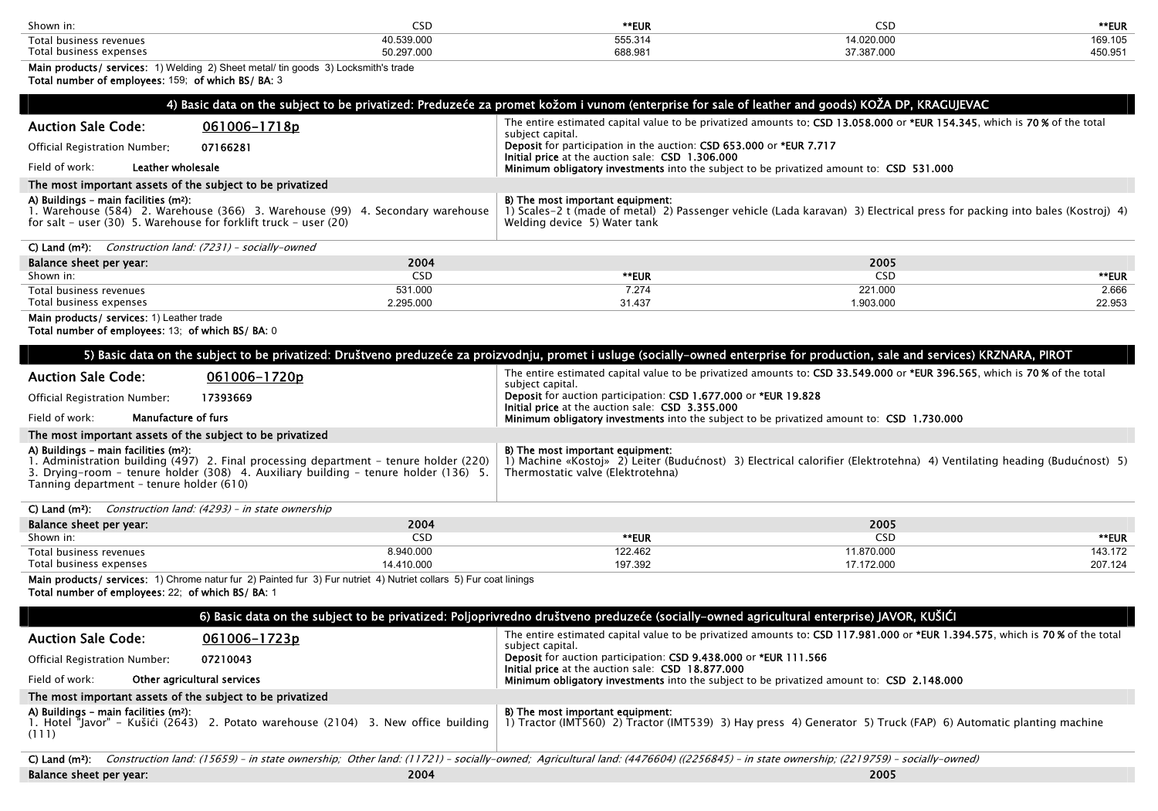| Shown in:                    |                      | **EUR              | -SD.       | **EUR   |
|------------------------------|----------------------|--------------------|------------|---------|
| Total business revenues      | 5.520.00<br>U.SSY.UU | 555.314<br>688.981 | 4.020.000  | 169.105 |
| Total b<br>business expenses | 50.297.000           |                    | 202020<br> | 450.951 |

Main products/ services: 1) Welding 2) Sheet metal/ tin goods 3) Locksmith's trade Total number of employees: 159; of which BS/ BA: 3

| 4) Basic data on the subject to be privatized: Preduzeće za promet kožom i vunom (enterprise for sale of leather and goods) KOŽA DP, KRAGUJEVAC |                                                                                                                           |  |  |  |
|-------------------------------------------------------------------------------------------------------------------------------------------------|---------------------------------------------------------------------------------------------------------------------------|--|--|--|
| <b>Auction Sale Code:</b>                                                                                                                       | The entire estimated capital value to be privatized amounts to: CSD 13.058.000 or *EUR 154.345, which is 70% of the total |  |  |  |
| 061006-1718p                                                                                                                                    | subject capital.                                                                                                          |  |  |  |
| Official Registration Number:                                                                                                                   | <b>Deposit</b> for participation in the auction: CSD 653,000 or *EUR 7.717                                                |  |  |  |
| 07166281                                                                                                                                        | Initial price at the auction sale: CSD 1.306.000                                                                          |  |  |  |
| Leather wholesale<br>Field of work:                                                                                                             | Minimum obligatory investments into the subject to be privatized amount to: CSD 531.000                                   |  |  |  |
| The most important assets of the subject to be privatized                                                                                       |                                                                                                                           |  |  |  |
| A) Buildings - main facilities (m <sup>2</sup> ):                                                                                               | B) The most important equipment:                                                                                          |  |  |  |
| 1. Warehouse (584)   2. Warehouse (366)   3. Warehouse (99)   4. Secondary warehouse                                                            | 1) Scales-2 t (made of metal) 2) Passenger vehicle (Lada karavan) 3) Electrical press for packing into bales (Kostroj) 4) |  |  |  |
| for salt – user $(30)$ 5. Warehouse for forklift truck – user $(20)$                                                                            | Welding device 5) Water tank                                                                                              |  |  |  |

| C) Land $(m2)$ :<br>Construction land: (7231) - socially-owned |           |        |           |        |
|----------------------------------------------------------------|-----------|--------|-----------|--------|
| Balance sheet per year:                                        | 2004      |        | 2005      |        |
| Shown in:                                                      | CSD       | **EUR  | CSD       | **EUR  |
| Total business revenues                                        | 531.000   | 7.274  | 221.000   | 2.666  |
| Total business expenses                                        | 2.295.000 | 31.437 | 1.903.000 | 22.953 |

2.295.000

Main products/ services: 1) Leather trade

Total number of employees: 13; of which BS/ BA: 0

| 5) Basic data on the subject to be privatized: Društveno preduzeće za proizvodnju, promet i usluge (socially-owned enterprise for production, sale and services) KRZNARA, PIROT |                                                                                                                                                                                  |                                                                                                                                                                                                  |  |  |
|---------------------------------------------------------------------------------------------------------------------------------------------------------------------------------|----------------------------------------------------------------------------------------------------------------------------------------------------------------------------------|--------------------------------------------------------------------------------------------------------------------------------------------------------------------------------------------------|--|--|
| <b>Auction Sale Code:</b>                                                                                                                                                       | 061006-1720p                                                                                                                                                                     | The entire estimated capital value to be privatized amounts to: CSD 33.549.000 or *EUR 396.565, which is 70 % of the total<br>subject capital.                                                   |  |  |
| Official Registration Number:<br>17393669                                                                                                                                       |                                                                                                                                                                                  | Deposit for auction participation: CSD 1.677.000 or *EUR 19.828<br>Initial price at the auction sale: CSD 3.355.000                                                                              |  |  |
| <b>Manufacture of furs</b><br>Field of work:                                                                                                                                    |                                                                                                                                                                                  | <b>Minimum obligatory investments</b> into the subject to be privatized amount to: CSD 1.730.000                                                                                                 |  |  |
| The most important assets of the subject to be privatized                                                                                                                       |                                                                                                                                                                                  |                                                                                                                                                                                                  |  |  |
| A) Buildings - main facilities (m <sup>2</sup> ):<br>Tanning department - tenure holder (610)                                                                                   | 1. Administration building (497) 2. Final processing department – tenure holder (220)<br>3. Drying–room – tenure holder $(308)$ 4. Auxiliary building – tenure holder $(136)$ 5. | B) The most important equipment:<br>1) Machine «Kostoi» 2) Leiter (Budućnost) 3) Electrical calorifier (Elektrotehna) 4) Ventilating heading (Budućnost) 5)<br>Thermostatic valve (Elektrotehna) |  |  |
| C) Land ( $m^2$ ): <i>Construction land: (4293) – in state ownership</i>                                                                                                        |                                                                                                                                                                                  |                                                                                                                                                                                                  |  |  |
| Palance cheet nor vear                                                                                                                                                          | 2004                                                                                                                                                                             | 2005                                                                                                                                                                                             |  |  |

31.437

1.903.000

| Balance sheet per year: | 2004      |         | 2005       |         |
|-------------------------|-----------|---------|------------|---------|
| Shown in:               | ىدى       | **EUR   | USL'       | **EUR   |
| Total business revenues | 1.940.000 | 122.462 | 1.870.000  | 43.172  |
| Total business expenses | 4.410.000 | 197.392 | 17.172.000 | 207.124 |

Main products/ services: 1) Chrome natur fur 2) Painted fur 3) Fur nutriet 4) Nutriet collars 5) Fur coat linings Total number of employees: 22; of which BS/ BA: 1

| 6) Basic data on the subject to be privatized: Poljoprivredno društveno preduzeće (socially-owned agricultural enterprise) JAVOR, KUŠIĆI |                                                                                                                                                                                  |                                                                                                                                                    |  |  |  |
|------------------------------------------------------------------------------------------------------------------------------------------|----------------------------------------------------------------------------------------------------------------------------------------------------------------------------------|----------------------------------------------------------------------------------------------------------------------------------------------------|--|--|--|
| <b>Auction Sale Code:</b>                                                                                                                | 061006-1723p                                                                                                                                                                     | The entire estimated capital value to be privatized amounts to: CSD 117.981.000 or *EUR 1.394.575, which is 70% of the total<br>subject capital.   |  |  |  |
| Official Registration Number:                                                                                                            | 07210043                                                                                                                                                                         | Deposit for auction participation: CSD 9.438.000 or *EUR 111.566<br>Initial price at the auction sale: CSD 18.877.000                              |  |  |  |
| Field of work:<br>Other agricultural services                                                                                            |                                                                                                                                                                                  | <b>Minimum obligatory investments</b> into the subject to be privatized amount to: CSD 2.148.000                                                   |  |  |  |
| The most important assets of the subject to be privatized                                                                                |                                                                                                                                                                                  |                                                                                                                                                    |  |  |  |
| A) Buildings - main facilities (m <sup>2</sup> ):<br>(111)                                                                               | 1. Hotel "Javor" – Kušići (2643) 2. Potato warehouse (2104) 3. New office building                                                                                               | B) The most important equipment:<br>1) Tractor (IMT560) 2) Tractor (IMT539) 3) Hay press 4) Generator 5) Truck (FAP) 6) Automatic planting machine |  |  |  |
| $C)$ Land (m <sup>2</sup> ):                                                                                                             | Construction land: (15659) - in state ownership; Other land: (11721) - socially-owned; Agricultural land: (4476604) ((2256845) - in state ownership; (2219759) - socially-owned) |                                                                                                                                                    |  |  |  |
| Balance sheet per year:                                                                                                                  | 2004                                                                                                                                                                             | 2005                                                                                                                                               |  |  |  |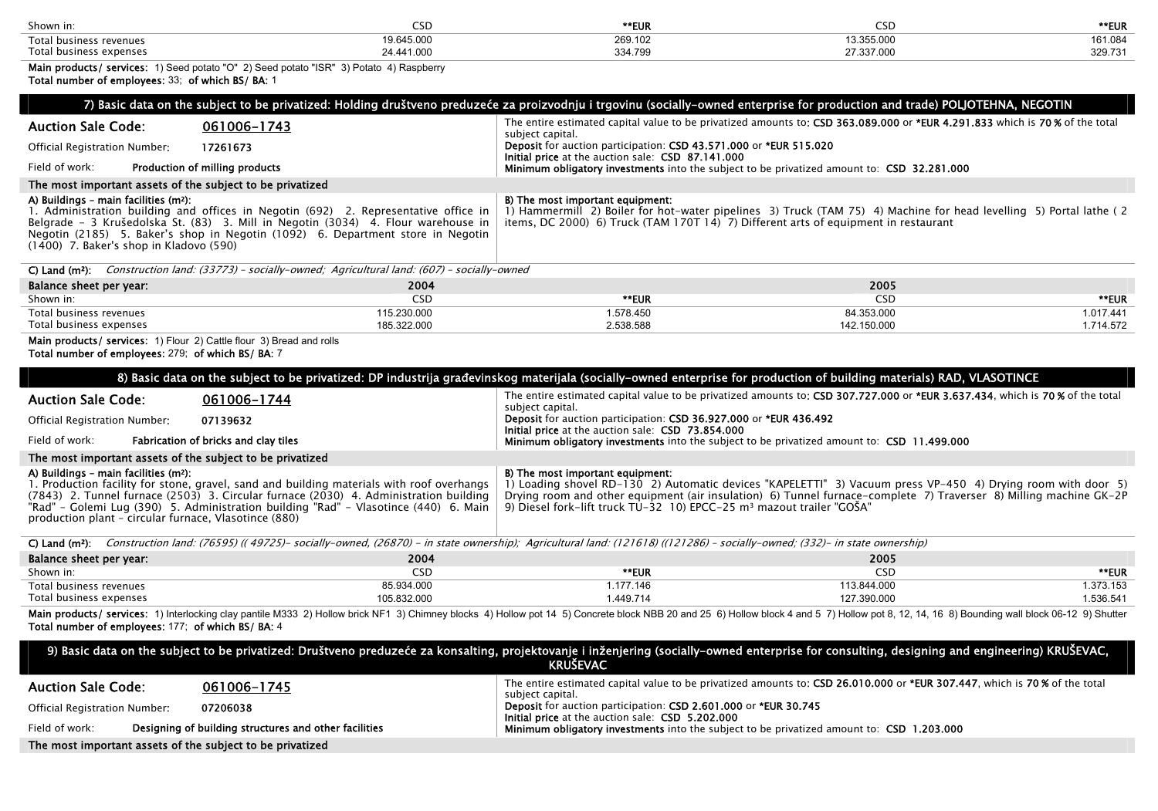| Shown in:                                           |                   | **EUR             |                         | **EUR             |
|-----------------------------------------------------|-------------------|-------------------|-------------------------|-------------------|
| Total.<br>s revenues<br>husines                     | ---<br>'9.645.00C | 269.10∠           | 0.055.00                | $AA$ 00<br>161.08 |
| Total <sub>1</sub><br>expense. *<br><b>husiness</b> |                   | 0.0170<br>ડડ4.795 | - ---<br>7. O.O.<br>.טט | בכת חפר<br>ა∠ყ.≀ა |

Main products/ services: 1) Seed potato "O" 2) Seed potato "ISR" 3) Potato 4) Raspberry

|                                                                                                                                                                                                                                                                                                                                                                                          | 7) Basic data on the subject to be privatized: Holding društveno preduzeće za proizvodnju i trgovinu (socially-owned enterprise for production and trade) POLJOTEHNA, NEGOTIN                                                                                                                                                                     |                                                      |
|------------------------------------------------------------------------------------------------------------------------------------------------------------------------------------------------------------------------------------------------------------------------------------------------------------------------------------------------------------------------------------------|---------------------------------------------------------------------------------------------------------------------------------------------------------------------------------------------------------------------------------------------------------------------------------------------------------------------------------------------------|------------------------------------------------------|
| <b>Auction Sale Code:</b><br>061006-1743<br>Official Registration Number:<br>17261673                                                                                                                                                                                                                                                                                                    | The entire estimated capital value to be privatized amounts to: CSD 363.089.000 or *EUR 4.291.833 which is 70% of the total<br>subject capital.<br>Deposit for auction participation: CSD 43.571.000 or *EUR 515.020                                                                                                                              |                                                      |
| Production of milling products<br>Field of work:                                                                                                                                                                                                                                                                                                                                         | Initial price at the auction sale: CSD 87.141.000<br>Minimum obligatory investments into the subject to be privatized amount to: CSD 32.281.000                                                                                                                                                                                                   |                                                      |
| The most important assets of the subject to be privatized                                                                                                                                                                                                                                                                                                                                |                                                                                                                                                                                                                                                                                                                                                   |                                                      |
| A) Buildings - main facilities (m <sup>2</sup> ):<br>1. Administration building and offices in Negotin (692) 2. Representative office in<br>Belgrade - 3 Krušedolska St. (83) 3. Mill in Negotin (3034) 4. Flour warehouse in<br>Negotin (2185) 5. Baker's shop in Negotin (1092) 6. Department store in Negotin<br>$(1400)$ 7. Baker's shop in Kladovo (590)                            | B) The most important equipment:<br>1) Hammermill 2) Boiler for hot-water pipelines 3) Truck (TAM 75) 4) Machine for head levelling 5) Portal lathe (2)<br>items, DC 2000) 6) Truck (TAM 170T 14) 7) Different arts of equipment in restaurant                                                                                                    |                                                      |
| C) Land ( $m^2$ ): Construction land: (33773) - socially-owned; Agricultural land: (607) - socially-owned                                                                                                                                                                                                                                                                                |                                                                                                                                                                                                                                                                                                                                                   |                                                      |
| 2004<br>Balance sheet per year:                                                                                                                                                                                                                                                                                                                                                          |                                                                                                                                                                                                                                                                                                                                                   | 2005                                                 |
| Shown in:<br><b>CSD</b><br>115.230.000                                                                                                                                                                                                                                                                                                                                                   | **EUR<br>1.578.450                                                                                                                                                                                                                                                                                                                                | <b>CSD</b><br>**EUR<br>84.353.000<br>1.017.441       |
| Total business revenues<br>Total business expenses<br>185.322.000                                                                                                                                                                                                                                                                                                                        | 2.538.588                                                                                                                                                                                                                                                                                                                                         | 142.150.000<br>1.714.572                             |
| Main products/ services: 1) Flour 2) Cattle flour 3) Bread and rolls<br>Total number of employees: 279; of which BS/ BA: 7                                                                                                                                                                                                                                                               | 8) Basic data on the subject to be privatized: DP industrija građevinskog materijala (socially-owned enterprise for production of building materials) RAD, VLASOTINCE                                                                                                                                                                             |                                                      |
| <b>Auction Sale Code:</b><br>061006-1744                                                                                                                                                                                                                                                                                                                                                 | The entire estimated capital value to be privatized amounts to: CSD 307.727.000 or *EUR 3.637.434, which is 70% of the total<br>subject capital.                                                                                                                                                                                                  |                                                      |
|                                                                                                                                                                                                                                                                                                                                                                                          |                                                                                                                                                                                                                                                                                                                                                   |                                                      |
| 07139632<br>Official Registration Number:                                                                                                                                                                                                                                                                                                                                                | Deposit for auction participation: CSD 36.927.000 or *EUR 436.492                                                                                                                                                                                                                                                                                 |                                                      |
| Field of work:<br>Fabrication of bricks and clay tiles                                                                                                                                                                                                                                                                                                                                   | Initial price at the auction sale: CSD 73.854.000<br>Minimum obligatory investments into the subject to be privatized amount to: CSD 11.499.000                                                                                                                                                                                                   |                                                      |
| The most important assets of the subject to be privatized                                                                                                                                                                                                                                                                                                                                |                                                                                                                                                                                                                                                                                                                                                   |                                                      |
| A) Buildings - main facilities (m <sup>2</sup> ):<br>1. Production facility for stone, gravel, sand and building materials with roof overhangs<br>(7843) 2. Tunnel furnace (2503) 3. Circular furnace (2030) 4. Administration building<br>"Rad" - Golemi Lug (390) 5. Administration building "Rad" - Vlasotince (440) 6. Main<br>production plant - circular furnace, Vlasotince (880) | B) The most important equipment:<br>1) Loading shovel RD-130 2) Automatic devices "KAPELETTI" 3) Vacuum press VP-450 4) Drying room with door 5)<br>Drying room and other equipment (air insulation) 6) Tunnel furnace-complete 7) Traverser 8) Milling machine GK-2P<br>9) Diesel fork-lift truck $TU-32$ 10) EPCC-25 $m3$ mazout trailer "GOSA" |                                                      |
| C) Land (m <sup>2</sup> ): Construction land: (76595) ((49725) - socially-owned, (26870) - in state ownership); Agricultural land: (121618) ((121286) - socially-owned; (332) - in state ownership)                                                                                                                                                                                      |                                                                                                                                                                                                                                                                                                                                                   |                                                      |
| 2004<br>Balance sheet per year:                                                                                                                                                                                                                                                                                                                                                          |                                                                                                                                                                                                                                                                                                                                                   | 2005                                                 |
| Shown in:<br><b>CSD</b>                                                                                                                                                                                                                                                                                                                                                                  | **EUR                                                                                                                                                                                                                                                                                                                                             | <b>CSD</b><br>**EUR                                  |
| 85.934.000<br>Total business revenues<br>Total business expenses<br>105.832.000                                                                                                                                                                                                                                                                                                          | 1.177.146<br>1.449.714                                                                                                                                                                                                                                                                                                                            | 113.844.000<br>1.373.153<br>127.390.000<br>1.536.541 |

| <b>KRUŠEVAC</b>               |                                                           |                                                                                                                                                |  |  |
|-------------------------------|-----------------------------------------------------------|------------------------------------------------------------------------------------------------------------------------------------------------|--|--|
| <b>Auction Sale Code:</b>     | 061006-1745                                               | The entire estimated capital value to be privatized amounts to: CSD 26.010.000 or *EUR 307.447, which is 70 % of the total<br>subject capital. |  |  |
| Official Registration Number: | 07206038                                                  | Deposit for auction participation: CSD 2.601.000 or *EUR 30.745<br><b>Initial price</b> at the auction sale: CSD 5.202.000                     |  |  |
| Field of work:                | Designing of building structures and other facilities     | Minimum obligatory investments into the subject to be privatized amount to: CSD 1.203.000                                                      |  |  |
|                               | The most important assets of the subject to be privatized |                                                                                                                                                |  |  |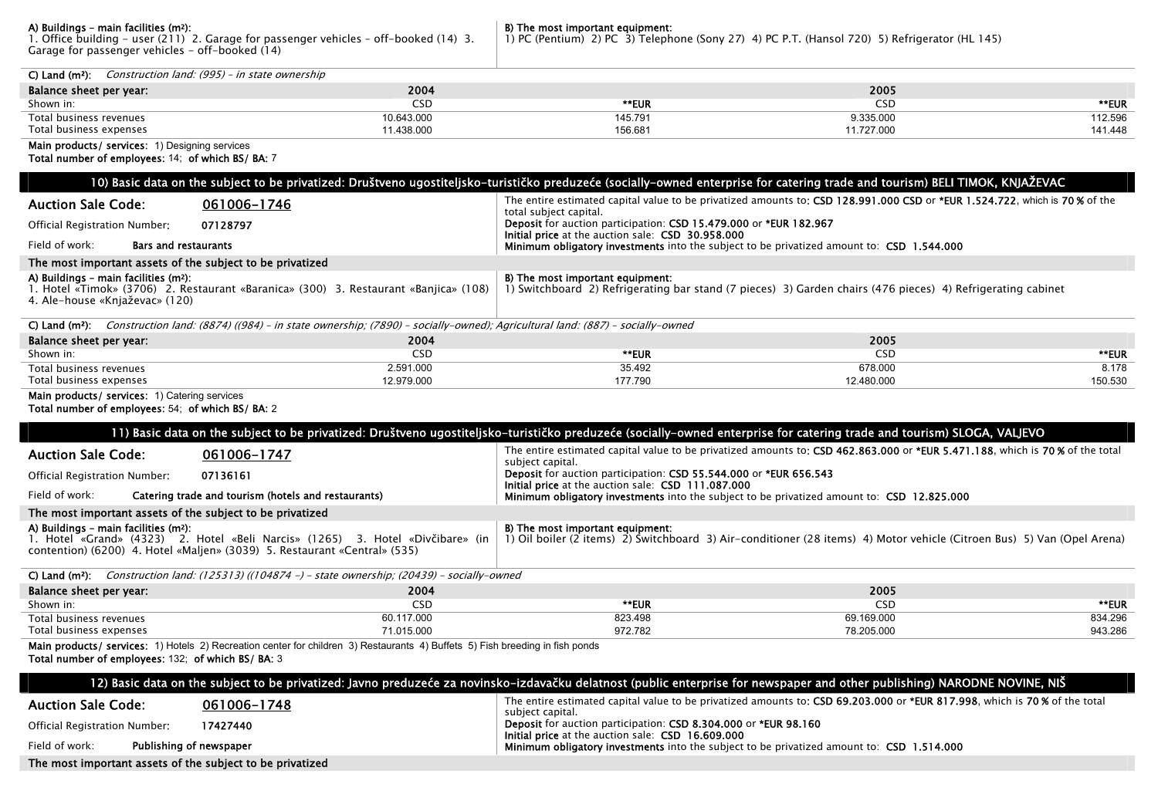**A) Buildings - main facilities (m?):**<br>1. Office building – user (211) 2. Garage for passenger vehicles - off–booked (14) 3.<br>Garage for passenger vehicles – off–booked (14)

**B) The most important equipment:**<br>1) PC (Pentium) 2) PC 3) Telephone (Sony 27) 4) PC P.T. (Hansol 720) 5) Refrigerator (HL 145)

| $C)$ Land $(m2)$ .<br>Construction land: (995) – in state ownership              |            |         |            |         |
|----------------------------------------------------------------------------------|------------|---------|------------|---------|
| Balance sheet per year:                                                          | 2004       |         | 2005       |         |
| Shown in:                                                                        | <b>CSD</b> | **EUR   | CSD        | **EUR   |
| Total business revenues                                                          | 10.643.000 | 145.791 | 9.335.000  | 112.596 |
| Total business expenses                                                          | 11.438.000 | 156.681 | 11.727.000 | 141.448 |
| ,我们也不会不会不会。""我们的,我们也不会不会不会。""我们的,我们也不会不会不会不会。""我们的,我们也不会不会不会不会。""我们的,我们也不会不会不会不会 |            |         |            |         |

Main products/ services: 1) Designing services

Total number of employees: 14; of which BS/ BA: 7

|                                                                                                    | 10) Basic data on the subject to be privatized: Društveno ugostiteljsko-turističko preduzeće (socially-owned enterprise for catering trade and tourism) BELI TIMOK, KNJAŽEVAC |                                                                                                                                                 |                                                                                                                              |         |  |
|----------------------------------------------------------------------------------------------------|-------------------------------------------------------------------------------------------------------------------------------------------------------------------------------|-------------------------------------------------------------------------------------------------------------------------------------------------|------------------------------------------------------------------------------------------------------------------------------|---------|--|
| <b>Auction Sale Code:</b>                                                                          | 061006-1746                                                                                                                                                                   | total subject capital.                                                                                                                          | The entire estimated capital value to be privatized amounts to: CSD 128.991.000 CSD or *EUR 1.524.722, which is 70% of the   |         |  |
| Official Registration Number:                                                                      | 07128797                                                                                                                                                                      | Deposit for auction participation: CSD 15.479.000 or *EUR 182.967                                                                               |                                                                                                                              |         |  |
| Field of work:<br><b>Bars and restaurants</b>                                                      |                                                                                                                                                                               | Initial price at the auction sale: CSD 30.958.000<br>Minimum obligatory investments into the subject to be privatized amount to: CSD 1.544.000  |                                                                                                                              |         |  |
| The most important assets of the subject to be privatized                                          |                                                                                                                                                                               |                                                                                                                                                 |                                                                                                                              |         |  |
| A) Buildings - main facilities (m2):<br>4. Ale-house «Knjaževac» (120)                             | 1. Hotel «Timok» (3706) 2. Restaurant «Baranica» (300) 3. Restaurant «Banjica» (108)                                                                                          | B) The most important equipment:<br>1) Switchboard 2) Refrigerating bar stand (7 pieces) 3) Garden chairs (476 pieces) 4) Refrigerating cabinet |                                                                                                                              |         |  |
|                                                                                                    | C) Land (m <sup>2</sup> ): Construction land: (8874) ((984) - in state ownership; (7890) - socially-owned); Agricultural land: (887) - socially-owned                         |                                                                                                                                                 |                                                                                                                              |         |  |
| Balance sheet per year:                                                                            | 2004                                                                                                                                                                          |                                                                                                                                                 | 2005                                                                                                                         |         |  |
| Shown in:                                                                                          | <b>CSD</b>                                                                                                                                                                    | **EUR                                                                                                                                           | CSD.                                                                                                                         | **EUR   |  |
| Total business revenues                                                                            | 2.591.000                                                                                                                                                                     | 35.492                                                                                                                                          | 678.000                                                                                                                      | 8.178   |  |
| Total business expenses                                                                            | 12.979.000                                                                                                                                                                    | 177.790                                                                                                                                         | 12.480.000                                                                                                                   | 150.530 |  |
| Main products/ services: 1) Catering services<br>Total number of employees: 54; of which BS/ BA: 2 |                                                                                                                                                                               |                                                                                                                                                 |                                                                                                                              |         |  |
|                                                                                                    | 11) Basic data on the subject to be privatized: Društveno ugostiteljsko-turističko preduzeće (socially-owned enterprise for catering trade and tourism) SLOGA, VALJEVO        |                                                                                                                                                 |                                                                                                                              |         |  |
| <b>Auction Sale Code:</b>                                                                          | 061006-1747                                                                                                                                                                   | subject capital.                                                                                                                                | The entire estimated capital value to be privatized amounts to: CSD 462.863.000 or *EUR 5.471.188, which is 70% of the total |         |  |
| Official Registration Number:                                                                      | 07136161                                                                                                                                                                      | Deposit for auction participation: CSD 55.544.000 or *EUR 656.543<br>Initial price at the auction sale: CSD 111.087.000                         |                                                                                                                              |         |  |
| Field of work:                                                                                     | Catering trade and tourism (hotels and restaurants)                                                                                                                           | Minimum obligatory investments into the subject to be privatized amount to: CSD 12.825.000                                                      |                                                                                                                              |         |  |
| The most important assets of the subject to be privatized                                          |                                                                                                                                                                               |                                                                                                                                                 |                                                                                                                              |         |  |
| A) Buildings - main facilities (m2):                                                               | 1. Hotel «Grand» (4323) 2. Hotel «Beli Narcis» (1265) 3. Hotel «Divčibare» (in<br>contention) (6200) 4. Hotel «Malien» (3039) 5. Restaurant «Central» (535)                   | B) The most important equipment:                                                                                                                | 1) Oil boiler (2 items) 2) Switchboard 3) Air-conditioner (28 items) 4) Motor vehicle (Citroen Bus) 5) Van (Opel Arena)      |         |  |
|                                                                                                    | C) Land (m <sup>2</sup> ): Construction land: (125313) ((104874 -) - state ownership; (20439) - socially-owned                                                                |                                                                                                                                                 |                                                                                                                              |         |  |
| Balance sheet per year:                                                                            | 2004                                                                                                                                                                          |                                                                                                                                                 | 2005                                                                                                                         |         |  |
| Shown in:                                                                                          | <b>CSD</b>                                                                                                                                                                    | **EUR                                                                                                                                           | CSD                                                                                                                          | **EUR   |  |
| Total business revenues                                                                            | 60.117.000                                                                                                                                                                    | 823.498                                                                                                                                         | 69.169.000                                                                                                                   | 834.296 |  |
| Total business expenses                                                                            | 71.015.000                                                                                                                                                                    | 972.782                                                                                                                                         | 78.205.000                                                                                                                   | 943.286 |  |
| Total number of employees: 132; of which BS/ BA: 3                                                 | Main products/ services: 1) Hotels 2) Recreation center for children 3) Restaurants 4) Buffets 5) Fish breeding in fish ponds                                                 |                                                                                                                                                 |                                                                                                                              |         |  |
|                                                                                                    | 12) Basic data on the subject to be privatized: Javno preduzeće za novinsko-izdavačku delatnost (public enterprise for newspaper and other publishing) NARODNE NOVINE, NIŠ    |                                                                                                                                                 |                                                                                                                              |         |  |
| <b>Auction Sale Code:</b>                                                                          | 061006-1748                                                                                                                                                                   | subject capital.                                                                                                                                | The entire estimated capital value to be privatized amounts to: CSD 69.203.000 or *EUR 817.998, which is 70% of the total    |         |  |
| Official Registration Number:                                                                      | 17427440                                                                                                                                                                      | Deposit for auction participation: CSD 8.304.000 or *EUR 98.160<br>Initial price at the auction sale: CSD 16.609.000                            |                                                                                                                              |         |  |
| Field of work:                                                                                     | Publishing of newspaper                                                                                                                                                       | Minimum obligatory investments into the subject to be privatized amount to: CSD 1.514.000                                                       |                                                                                                                              |         |  |

The most important assets of the subject to be privatized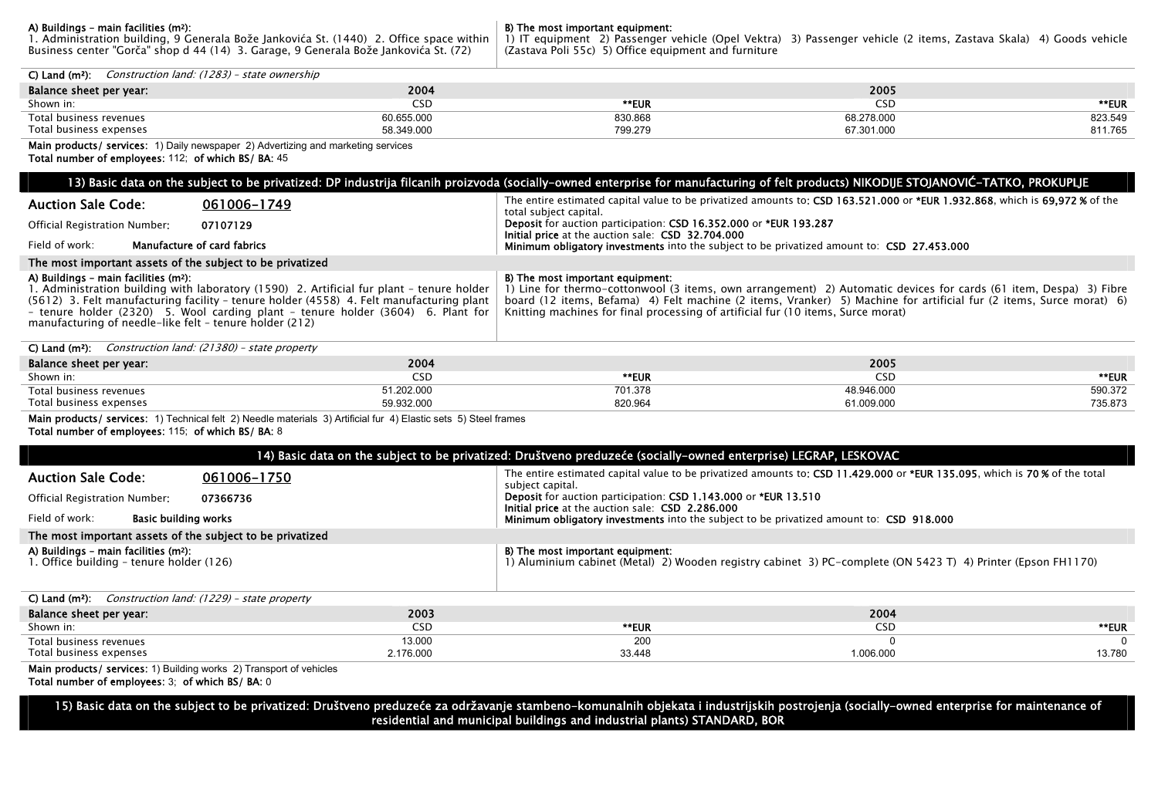**A) Buildings - main facilities (m?):**<br>1. Administration building, 9 Generala Bože Jankovića St. (1440) 2. Office space within<br>Business center "Gorča" shop d 44 (14) 3. Garage, 9 Generala Bože Jankovića St. (72)

**B) The most important equipment:**<br>1) IT equipment 2) Passenger vehicle (Opel Vektra) 3) Passenger vehicle (2 items, Zastava Skala) 4) Goods vehicle<br>(Zastava Poli 55c) 5) Office equipment and furniture

| C) Land ( $m^2$ ): Construction land: (1283) - state ownership                                                                                                                                                                                                                                                                                                                            |            |                                                                                                                                                                                                                                                                                                                                                                  |            |         |  |  |  |
|-------------------------------------------------------------------------------------------------------------------------------------------------------------------------------------------------------------------------------------------------------------------------------------------------------------------------------------------------------------------------------------------|------------|------------------------------------------------------------------------------------------------------------------------------------------------------------------------------------------------------------------------------------------------------------------------------------------------------------------------------------------------------------------|------------|---------|--|--|--|
|                                                                                                                                                                                                                                                                                                                                                                                           | 2004       |                                                                                                                                                                                                                                                                                                                                                                  | 2005       |         |  |  |  |
| Balance sheet per year:                                                                                                                                                                                                                                                                                                                                                                   | <b>CSD</b> | **EUR                                                                                                                                                                                                                                                                                                                                                            | <b>CSD</b> | **EUR   |  |  |  |
| Shown in:<br>Total business revenues                                                                                                                                                                                                                                                                                                                                                      | 60.655.000 | 830.868                                                                                                                                                                                                                                                                                                                                                          | 68.278.000 | 823.549 |  |  |  |
| Total business expenses                                                                                                                                                                                                                                                                                                                                                                   | 58.349.000 | 799.279                                                                                                                                                                                                                                                                                                                                                          | 67.301.000 | 811.765 |  |  |  |
| Main products/ services: 1) Daily newspaper 2) Advertizing and marketing services                                                                                                                                                                                                                                                                                                         |            |                                                                                                                                                                                                                                                                                                                                                                  |            |         |  |  |  |
| Total number of employees: 112; of which BS/ BA: 45                                                                                                                                                                                                                                                                                                                                       |            |                                                                                                                                                                                                                                                                                                                                                                  |            |         |  |  |  |
|                                                                                                                                                                                                                                                                                                                                                                                           |            |                                                                                                                                                                                                                                                                                                                                                                  |            |         |  |  |  |
|                                                                                                                                                                                                                                                                                                                                                                                           |            | 13) Basic data on the subject to be privatized: DP industrija filcanih proizvoda (socially-owned enterprise for manufacturing of felt products) NIKODIJE STOJANOVIĆ-TATKO, PROKUPLJE                                                                                                                                                                             |            |         |  |  |  |
| <b>Auction Sale Code:</b><br>061006-1749                                                                                                                                                                                                                                                                                                                                                  |            | The entire estimated capital value to be privatized amounts to: CSD 163.521.000 or *EUR 1.932.868, which is 69.972 % of the<br>total subject capital.                                                                                                                                                                                                            |            |         |  |  |  |
| 07107129<br>Official Registration Number:                                                                                                                                                                                                                                                                                                                                                 |            | Deposit for auction participation: CSD 16.352.000 or *EUR 193.287<br>Initial price at the auction sale: CSD 32.704.000                                                                                                                                                                                                                                           |            |         |  |  |  |
| Field of work:<br>Manufacture of card fabrics                                                                                                                                                                                                                                                                                                                                             |            | Minimum obligatory investments into the subject to be privatized amount to: CSD 27.453.000                                                                                                                                                                                                                                                                       |            |         |  |  |  |
| The most important assets of the subject to be privatized                                                                                                                                                                                                                                                                                                                                 |            |                                                                                                                                                                                                                                                                                                                                                                  |            |         |  |  |  |
| A) Buildings - main facilities (m <sup>2</sup> ):<br>1. Administration building with laboratory (1590) 2. Artificial fur plant - tenure holder<br>(5612) 3. Felt manufacturing facility - tenure holder (4558) 4. Felt manufacturing plant<br>- tenure holder (2320) 5. Wool carding plant - tenure holder (3604) 6. Plant for<br>manufacturing of needle-like felt - tenure holder (212) |            | B) The most important equipment:<br>1) Line for thermo-cottonwool (3 items, own arrangement) 2) Automatic devices for cards (61 item, Despa) 3) Fibre<br>board (12 items, Befama) 4) Felt machine (2 items, Vranker) 5) Machine for artificial fur (2 items, Surce morat) 6)<br>Knitting machines for final processing of artificial fur (10 items, Surce morat) |            |         |  |  |  |
| C) Land ( $m^2$ ): Construction land: (21380) - state property                                                                                                                                                                                                                                                                                                                            |            |                                                                                                                                                                                                                                                                                                                                                                  |            |         |  |  |  |
| Balance sheet per year:                                                                                                                                                                                                                                                                                                                                                                   | 2004       |                                                                                                                                                                                                                                                                                                                                                                  | 2005       |         |  |  |  |
| Shown in:                                                                                                                                                                                                                                                                                                                                                                                 | <b>CSD</b> | **EUR                                                                                                                                                                                                                                                                                                                                                            | <b>CSD</b> | **EUR   |  |  |  |
| Total business revenues                                                                                                                                                                                                                                                                                                                                                                   | 51.202.000 | 701.378                                                                                                                                                                                                                                                                                                                                                          | 48.946.000 | 590.372 |  |  |  |
| Total business expenses                                                                                                                                                                                                                                                                                                                                                                   | 59.932.000 | 820.964                                                                                                                                                                                                                                                                                                                                                          | 61.009.000 | 735.873 |  |  |  |
| Main products/ services: 1) Technical felt 2) Needle materials 3) Artificial fur 4) Elastic sets 5) Steel frames<br>Total number of employees: 115; of which BS/ BA: 8                                                                                                                                                                                                                    |            |                                                                                                                                                                                                                                                                                                                                                                  |            |         |  |  |  |
| 14) Basic data on the subject to be privatized: Društveno preduzeće (socially-owned enterprise) LEGRAP, LESKOVAC                                                                                                                                                                                                                                                                          |            |                                                                                                                                                                                                                                                                                                                                                                  |            |         |  |  |  |
| <b>Auction Sale Code:</b><br>061006-1750                                                                                                                                                                                                                                                                                                                                                  |            | The entire estimated capital value to be privatized amounts to: CSD 11.429.000 or *EUR 135.095, which is 70% of the total<br>subject capital.<br>Deposit for auction participation: CSD 1.143.000 or *EUR 13.510<br>Initial price at the auction sale: CSD 2.286.000                                                                                             |            |         |  |  |  |
| Official Registration Number:<br>07366736                                                                                                                                                                                                                                                                                                                                                 |            |                                                                                                                                                                                                                                                                                                                                                                  |            |         |  |  |  |
| Field of work:<br><b>Basic building works</b>                                                                                                                                                                                                                                                                                                                                             |            | Minimum obligatory investments into the subject to be privatized amount to: CSD 918.000                                                                                                                                                                                                                                                                          |            |         |  |  |  |
| The most important assets of the subject to be privatized                                                                                                                                                                                                                                                                                                                                 |            |                                                                                                                                                                                                                                                                                                                                                                  |            |         |  |  |  |
| A) Buildings - main facilities (m <sup>2</sup> ):<br>1. Office building - tenure holder (126)                                                                                                                                                                                                                                                                                             |            | B) The most important equipment:<br>1) Aluminium cabinet (Metal) 2) Wooden registry cabinet 3) PC-complete (ON 5423 T) 4) Printer (Epson FH1170)                                                                                                                                                                                                                 |            |         |  |  |  |
| C) Land ( $m^2$ ): Construction land: (1229) - state property                                                                                                                                                                                                                                                                                                                             |            |                                                                                                                                                                                                                                                                                                                                                                  |            |         |  |  |  |
| Balance sheet per year:                                                                                                                                                                                                                                                                                                                                                                   | 2003       |                                                                                                                                                                                                                                                                                                                                                                  | 2004       |         |  |  |  |
| Shown in:                                                                                                                                                                                                                                                                                                                                                                                 | <b>CSD</b> | **EUR                                                                                                                                                                                                                                                                                                                                                            | <b>CSD</b> | **EUR   |  |  |  |
| Total business revenues                                                                                                                                                                                                                                                                                                                                                                   | 13.000     | 200                                                                                                                                                                                                                                                                                                                                                              | $\Omega$   |         |  |  |  |
| Total business expenses                                                                                                                                                                                                                                                                                                                                                                   | 2.176.000  | 33.448                                                                                                                                                                                                                                                                                                                                                           | 1.006.000  | 13.780  |  |  |  |

Main products/ services: 1) Building works 2) Transport of vehicles

Total number of employees: 3; of which BS/ BA: 0

15) Basic data on the subject to be privatized: Društveno preduzeće za održavanje stambeno-komunalnih objekata i industrijskih postrojenja (socially-owned enterprise for maintenance of residential and municipal buildings and industrial plants) STANDARD, BOR